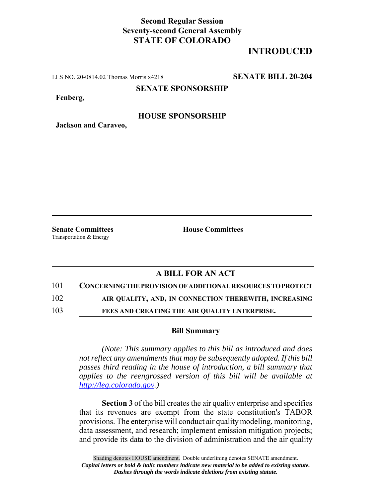## **Second Regular Session Seventy-second General Assembly STATE OF COLORADO**

# **INTRODUCED**

LLS NO. 20-0814.02 Thomas Morris x4218 **SENATE BILL 20-204**

**SENATE SPONSORSHIP**

**Fenberg,**

#### **HOUSE SPONSORSHIP**

**Jackson and Caraveo,**

Transportation & Energy

**Senate Committees House Committees** 

### **A BILL FOR AN ACT**

101 **CONCERNING THE PROVISION OF ADDITIONAL RESOURCES TO PROTECT**

102 **AIR QUALITY, AND, IN CONNECTION THEREWITH, INCREASING**

103 **FEES AND CREATING THE AIR QUALITY ENTERPRISE.**

#### **Bill Summary**

*(Note: This summary applies to this bill as introduced and does not reflect any amendments that may be subsequently adopted. If this bill passes third reading in the house of introduction, a bill summary that applies to the reengrossed version of this bill will be available at http://leg.colorado.gov.)*

**Section 3** of the bill creates the air quality enterprise and specifies that its revenues are exempt from the state constitution's TABOR provisions. The enterprise will conduct air quality modeling, monitoring, data assessment, and research; implement emission mitigation projects; and provide its data to the division of administration and the air quality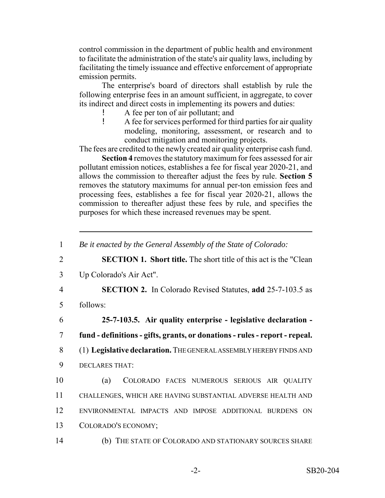control commission in the department of public health and environment to facilitate the administration of the state's air quality laws, including by facilitating the timely issuance and effective enforcement of appropriate emission permits.

The enterprise's board of directors shall establish by rule the following enterprise fees in an amount sufficient, in aggregate, to cover its indirect and direct costs in implementing its powers and duties:

- ! A fee per ton of air pollutant; and
- ! A fee for services performed for third parties for air quality modeling, monitoring, assessment, or research and to conduct mitigation and monitoring projects.

The fees are credited to the newly created air quality enterprise cash fund.

**Section 4** removes the statutory maximum for fees assessed for air pollutant emission notices, establishes a fee for fiscal year 2020-21, and allows the commission to thereafter adjust the fees by rule. **Section 5** removes the statutory maximums for annual per-ton emission fees and processing fees, establishes a fee for fiscal year 2020-21, allows the commission to thereafter adjust these fees by rule, and specifies the purposes for which these increased revenues may be spent.

2 **SECTION 1. Short title.** The short title of this act is the "Clean

3 Up Colorado's Air Act".

4 **SECTION 2.** In Colorado Revised Statutes, **add** 25-7-103.5 as

5 follows:

6 **25-7-103.5. Air quality enterprise - legislative declaration -** 7 **fund - definitions - gifts, grants, or donations - rules - report - repeal.**

- 8 (1) **Legislative declaration.** THE GENERAL ASSEMBLY HEREBY FINDS AND
- 9 DECLARES THAT:

 (a) COLORADO FACES NUMEROUS SERIOUS AIR QUALITY CHALLENGES, WHICH ARE HAVING SUBSTANTIAL ADVERSE HEALTH AND ENVIRONMENTAL IMPACTS AND IMPOSE ADDITIONAL BURDENS ON COLORADO'S ECONOMY;

14 (b) THE STATE OF COLORADO AND STATIONARY SOURCES SHARE

<sup>1</sup> *Be it enacted by the General Assembly of the State of Colorado:*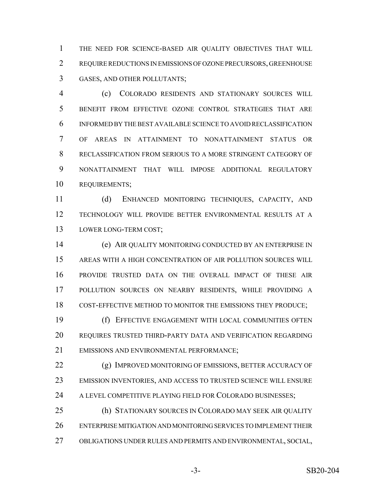THE NEED FOR SCIENCE-BASED AIR QUALITY OBJECTIVES THAT WILL REQUIRE REDUCTIONS IN EMISSIONS OF OZONE PRECURSORS, GREENHOUSE GASES, AND OTHER POLLUTANTS;

 (c) COLORADO RESIDENTS AND STATIONARY SOURCES WILL BENEFIT FROM EFFECTIVE OZONE CONTROL STRATEGIES THAT ARE INFORMED BY THE BEST AVAILABLE SCIENCE TO AVOID RECLASSIFICATION OF AREAS IN ATTAINMENT TO NONATTAINMENT STATUS OR RECLASSIFICATION FROM SERIOUS TO A MORE STRINGENT CATEGORY OF NONATTAINMENT THAT WILL IMPOSE ADDITIONAL REGULATORY REQUIREMENTS;

 (d) ENHANCED MONITORING TECHNIQUES, CAPACITY, AND TECHNOLOGY WILL PROVIDE BETTER ENVIRONMENTAL RESULTS AT A LOWER LONG-TERM COST;

 (e) AIR QUALITY MONITORING CONDUCTED BY AN ENTERPRISE IN AREAS WITH A HIGH CONCENTRATION OF AIR POLLUTION SOURCES WILL PROVIDE TRUSTED DATA ON THE OVERALL IMPACT OF THESE AIR POLLUTION SOURCES ON NEARBY RESIDENTS, WHILE PROVIDING A COST-EFFECTIVE METHOD TO MONITOR THE EMISSIONS THEY PRODUCE;

 (f) EFFECTIVE ENGAGEMENT WITH LOCAL COMMUNITIES OFTEN REQUIRES TRUSTED THIRD-PARTY DATA AND VERIFICATION REGARDING EMISSIONS AND ENVIRONMENTAL PERFORMANCE;

**(g) IMPROVED MONITORING OF EMISSIONS, BETTER ACCURACY OF**  EMISSION INVENTORIES, AND ACCESS TO TRUSTED SCIENCE WILL ENSURE 24 A LEVEL COMPETITIVE PLAYING FIELD FOR COLORADO BUSINESSES;

 (h) STATIONARY SOURCES IN COLORADO MAY SEEK AIR QUALITY ENTERPRISE MITIGATION AND MONITORING SERVICES TO IMPLEMENT THEIR OBLIGATIONS UNDER RULES AND PERMITS AND ENVIRONMENTAL, SOCIAL,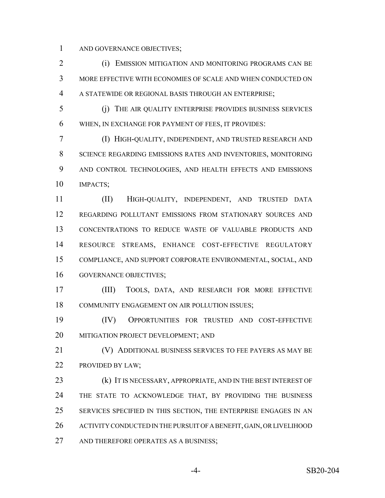AND GOVERNANCE OBJECTIVES;

 (i) EMISSION MITIGATION AND MONITORING PROGRAMS CAN BE MORE EFFECTIVE WITH ECONOMIES OF SCALE AND WHEN CONDUCTED ON A STATEWIDE OR REGIONAL BASIS THROUGH AN ENTERPRISE;

 (j) THE AIR QUALITY ENTERPRISE PROVIDES BUSINESS SERVICES WHEN, IN EXCHANGE FOR PAYMENT OF FEES, IT PROVIDES:

 (I) HIGH-QUALITY, INDEPENDENT, AND TRUSTED RESEARCH AND SCIENCE REGARDING EMISSIONS RATES AND INVENTORIES, MONITORING AND CONTROL TECHNOLOGIES, AND HEALTH EFFECTS AND EMISSIONS IMPACTS;

 (II) HIGH-QUALITY, INDEPENDENT, AND TRUSTED DATA REGARDING POLLUTANT EMISSIONS FROM STATIONARY SOURCES AND CONCENTRATIONS TO REDUCE WASTE OF VALUABLE PRODUCTS AND RESOURCE STREAMS, ENHANCE COST-EFFECTIVE REGULATORY COMPLIANCE, AND SUPPORT CORPORATE ENVIRONMENTAL, SOCIAL, AND GOVERNANCE OBJECTIVES;

 (III) TOOLS, DATA, AND RESEARCH FOR MORE EFFECTIVE COMMUNITY ENGAGEMENT ON AIR POLLUTION ISSUES;

 (IV) OPPORTUNITIES FOR TRUSTED AND COST-EFFECTIVE MITIGATION PROJECT DEVELOPMENT; AND

 (V) ADDITIONAL BUSINESS SERVICES TO FEE PAYERS AS MAY BE PROVIDED BY LAW;

23 (k) IT IS NECESSARY, APPROPRIATE, AND IN THE BEST INTEREST OF 24 THE STATE TO ACKNOWLEDGE THAT, BY PROVIDING THE BUSINESS SERVICES SPECIFIED IN THIS SECTION, THE ENTERPRISE ENGAGES IN AN ACTIVITY CONDUCTED IN THE PURSUIT OF A BENEFIT, GAIN, OR LIVELIHOOD 27 AND THEREFORE OPERATES AS A BUSINESS;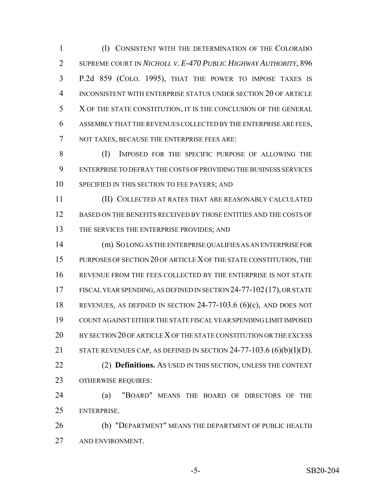(l) CONSISTENT WITH THE DETERMINATION OF THE COLORADO SUPREME COURT IN *NICHOLL V. E-470 PUBLIC HIGHWAY AUTHORITY*, 896 P.2d 859 (COLO. 1995), THAT THE POWER TO IMPOSE TAXES IS INCONSISTENT WITH ENTERPRISE STATUS UNDER SECTION 20 OF ARTICLE X OF THE STATE CONSTITUTION, IT IS THE CONCLUSION OF THE GENERAL ASSEMBLY THAT THE REVENUES COLLECTED BY THE ENTERPRISE ARE FEES, NOT TAXES, BECAUSE THE ENTERPRISE FEES ARE:

 (I) IMPOSED FOR THE SPECIFIC PURPOSE OF ALLOWING THE ENTERPRISE TO DEFRAY THE COSTS OF PROVIDING THE BUSINESS SERVICES 10 SPECIFIED IN THIS SECTION TO FEE PAYERS; AND

 (II) COLLECTED AT RATES THAT ARE REASONABLY CALCULATED BASED ON THE BENEFITS RECEIVED BY THOSE ENTITIES AND THE COSTS OF 13 THE SERVICES THE ENTERPRISE PROVIDES; AND

 (m) SO LONG AS THE ENTERPRISE QUALIFIES AS AN ENTERPRISE FOR PURPOSES OF SECTION 20 OF ARTICLE X OF THE STATE CONSTITUTION, THE REVENUE FROM THE FEES COLLECTED BY THE ENTERPRISE IS NOT STATE FISCAL YEAR SPENDING, AS DEFINED IN SECTION 24-77-102(17), OR STATE REVENUES, AS DEFINED IN SECTION 24-77-103.6 (6)(c), AND DOES NOT COUNT AGAINST EITHER THE STATE FISCAL YEAR SPENDING LIMIT IMPOSED BY SECTION 20 OF ARTICLE X OF THE STATE CONSTITUTION OR THE EXCESS 21 STATE REVENUES CAP, AS DEFINED IN SECTION  $24-77-103.6$  (6)(b)(I)(D). (2) **Definitions.** AS USED IN THIS SECTION, UNLESS THE CONTEXT OTHERWISE REQUIRES:

 (a) "BOARD" MEANS THE BOARD OF DIRECTORS OF THE ENTERPRISE.

 (b) "DEPARTMENT" MEANS THE DEPARTMENT OF PUBLIC HEALTH AND ENVIRONMENT.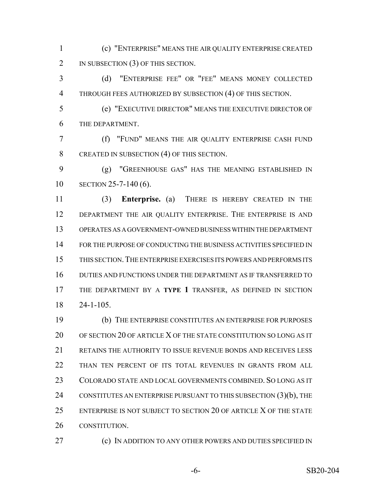(c) "ENTERPRISE" MEANS THE AIR QUALITY ENTERPRISE CREATED 2 IN SUBSECTION (3) OF THIS SECTION.

 (d) "ENTERPRISE FEE" OR "FEE" MEANS MONEY COLLECTED THROUGH FEES AUTHORIZED BY SUBSECTION (4) OF THIS SECTION.

 (e) "EXECUTIVE DIRECTOR" MEANS THE EXECUTIVE DIRECTOR OF THE DEPARTMENT.

 (f) "FUND" MEANS THE AIR QUALITY ENTERPRISE CASH FUND 8 CREATED IN SUBSECTION (4) OF THIS SECTION.

 (g) "GREENHOUSE GAS" HAS THE MEANING ESTABLISHED IN SECTION 25-7-140 (6).

 (3) **Enterprise.** (a) THERE IS HEREBY CREATED IN THE 12 DEPARTMENT THE AIR QUALITY ENTERPRISE. THE ENTERPRISE IS AND OPERATES AS A GOVERNMENT-OWNED BUSINESS WITHIN THE DEPARTMENT FOR THE PURPOSE OF CONDUCTING THE BUSINESS ACTIVITIES SPECIFIED IN THIS SECTION.THE ENTERPRISE EXERCISES ITS POWERS AND PERFORMS ITS DUTIES AND FUNCTIONS UNDER THE DEPARTMENT AS IF TRANSFERRED TO THE DEPARTMENT BY A **TYPE 1** TRANSFER, AS DEFINED IN SECTION 24-1-105.

 (b) THE ENTERPRISE CONSTITUTES AN ENTERPRISE FOR PURPOSES OF SECTION 20 OF ARTICLE X OF THE STATE CONSTITUTION SO LONG AS IT RETAINS THE AUTHORITY TO ISSUE REVENUE BONDS AND RECEIVES LESS THAN TEN PERCENT OF ITS TOTAL REVENUES IN GRANTS FROM ALL COLORADO STATE AND LOCAL GOVERNMENTS COMBINED. SO LONG AS IT 24 CONSTITUTES AN ENTERPRISE PURSUANT TO THIS SUBSECTION (3)(b), THE ENTERPRISE IS NOT SUBJECT TO SECTION 20 OF ARTICLE X OF THE STATE CONSTITUTION.

**(c)** IN ADDITION TO ANY OTHER POWERS AND DUTIES SPECIFIED IN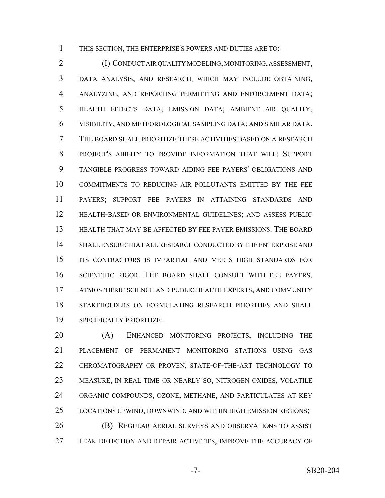THIS SECTION, THE ENTERPRISE'S POWERS AND DUTIES ARE TO:

 (I) CONDUCT AIR QUALITY MODELING, MONITORING, ASSESSMENT, DATA ANALYSIS, AND RESEARCH, WHICH MAY INCLUDE OBTAINING, ANALYZING, AND REPORTING PERMITTING AND ENFORCEMENT DATA; HEALTH EFFECTS DATA; EMISSION DATA; AMBIENT AIR QUALITY, VISIBILITY, AND METEOROLOGICAL SAMPLING DATA; AND SIMILAR DATA. THE BOARD SHALL PRIORITIZE THESE ACTIVITIES BASED ON A RESEARCH PROJECT'S ABILITY TO PROVIDE INFORMATION THAT WILL: SUPPORT TANGIBLE PROGRESS TOWARD AIDING FEE PAYERS' OBLIGATIONS AND COMMITMENTS TO REDUCING AIR POLLUTANTS EMITTED BY THE FEE PAYERS; SUPPORT FEE PAYERS IN ATTAINING STANDARDS AND HEALTH-BASED OR ENVIRONMENTAL GUIDELINES; AND ASSESS PUBLIC HEALTH THAT MAY BE AFFECTED BY FEE PAYER EMISSIONS. THE BOARD SHALL ENSURE THAT ALL RESEARCH CONDUCTED BY THE ENTERPRISE AND ITS CONTRACTORS IS IMPARTIAL AND MEETS HIGH STANDARDS FOR SCIENTIFIC RIGOR. THE BOARD SHALL CONSULT WITH FEE PAYERS, ATMOSPHERIC SCIENCE AND PUBLIC HEALTH EXPERTS, AND COMMUNITY STAKEHOLDERS ON FORMULATING RESEARCH PRIORITIES AND SHALL SPECIFICALLY PRIORITIZE:

 (A) ENHANCED MONITORING PROJECTS, INCLUDING THE PLACEMENT OF PERMANENT MONITORING STATIONS USING GAS CHROMATOGRAPHY OR PROVEN, STATE-OF-THE-ART TECHNOLOGY TO MEASURE, IN REAL TIME OR NEARLY SO, NITROGEN OXIDES, VOLATILE ORGANIC COMPOUNDS, OZONE, METHANE, AND PARTICULATES AT KEY LOCATIONS UPWIND, DOWNWIND, AND WITHIN HIGH EMISSION REGIONS; (B) REGULAR AERIAL SURVEYS AND OBSERVATIONS TO ASSIST

LEAK DETECTION AND REPAIR ACTIVITIES, IMPROVE THE ACCURACY OF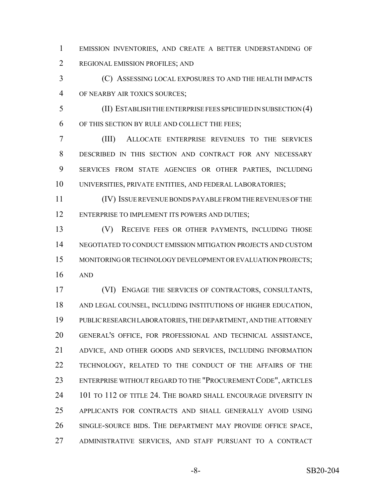EMISSION INVENTORIES, AND CREATE A BETTER UNDERSTANDING OF REGIONAL EMISSION PROFILES; AND

 (C) ASSESSING LOCAL EXPOSURES TO AND THE HEALTH IMPACTS OF NEARBY AIR TOXICS SOURCES;

 (II) ESTABLISH THE ENTERPRISE FEES SPECIFIED IN SUBSECTION (4) OF THIS SECTION BY RULE AND COLLECT THE FEES;

 (III) ALLOCATE ENTERPRISE REVENUES TO THE SERVICES DESCRIBED IN THIS SECTION AND CONTRACT FOR ANY NECESSARY SERVICES FROM STATE AGENCIES OR OTHER PARTIES, INCLUDING UNIVERSITIES, PRIVATE ENTITIES, AND FEDERAL LABORATORIES;

 (IV) ISSUE REVENUE BONDS PAYABLE FROM THE REVENUES OF THE ENTERPRISE TO IMPLEMENT ITS POWERS AND DUTIES;

 (V) RECEIVE FEES OR OTHER PAYMENTS, INCLUDING THOSE NEGOTIATED TO CONDUCT EMISSION MITIGATION PROJECTS AND CUSTOM MONITORING OR TECHNOLOGY DEVELOPMENT OR EVALUATION PROJECTS; AND

 (VI) ENGAGE THE SERVICES OF CONTRACTORS, CONSULTANTS, AND LEGAL COUNSEL, INCLUDING INSTITUTIONS OF HIGHER EDUCATION, PUBLIC RESEARCH LABORATORIES, THE DEPARTMENT, AND THE ATTORNEY GENERAL'S OFFICE, FOR PROFESSIONAL AND TECHNICAL ASSISTANCE, ADVICE, AND OTHER GOODS AND SERVICES, INCLUDING INFORMATION TECHNOLOGY, RELATED TO THE CONDUCT OF THE AFFAIRS OF THE ENTERPRISE WITHOUT REGARD TO THE "PROCUREMENT CODE", ARTICLES 24 101 TO 112 OF TITLE 24. THE BOARD SHALL ENCOURAGE DIVERSITY IN APPLICANTS FOR CONTRACTS AND SHALL GENERALLY AVOID USING SINGLE-SOURCE BIDS. THE DEPARTMENT MAY PROVIDE OFFICE SPACE, ADMINISTRATIVE SERVICES, AND STAFF PURSUANT TO A CONTRACT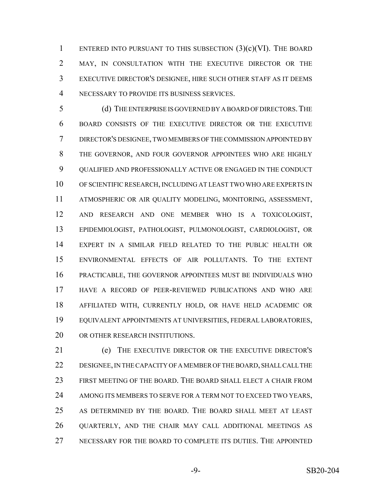1 ENTERED INTO PURSUANT TO THIS SUBSECTION  $(3)(c)(VI)$ . The BOARD MAY, IN CONSULTATION WITH THE EXECUTIVE DIRECTOR OR THE EXECUTIVE DIRECTOR'S DESIGNEE, HIRE SUCH OTHER STAFF AS IT DEEMS NECESSARY TO PROVIDE ITS BUSINESS SERVICES.

 (d) THE ENTERPRISE IS GOVERNED BY A BOARD OF DIRECTORS.THE BOARD CONSISTS OF THE EXECUTIVE DIRECTOR OR THE EXECUTIVE DIRECTOR'S DESIGNEE, TWO MEMBERS OF THE COMMISSION APPOINTED BY THE GOVERNOR, AND FOUR GOVERNOR APPOINTEES WHO ARE HIGHLY QUALIFIED AND PROFESSIONALLY ACTIVE OR ENGAGED IN THE CONDUCT OF SCIENTIFIC RESEARCH, INCLUDING AT LEAST TWO WHO ARE EXPERTS IN ATMOSPHERIC OR AIR QUALITY MODELING, MONITORING, ASSESSMENT, AND RESEARCH AND ONE MEMBER WHO IS A TOXICOLOGIST, EPIDEMIOLOGIST, PATHOLOGIST, PULMONOLOGIST, CARDIOLOGIST, OR EXPERT IN A SIMILAR FIELD RELATED TO THE PUBLIC HEALTH OR ENVIRONMENTAL EFFECTS OF AIR POLLUTANTS. TO THE EXTENT PRACTICABLE, THE GOVERNOR APPOINTEES MUST BE INDIVIDUALS WHO HAVE A RECORD OF PEER-REVIEWED PUBLICATIONS AND WHO ARE AFFILIATED WITH, CURRENTLY HOLD, OR HAVE HELD ACADEMIC OR EQUIVALENT APPOINTMENTS AT UNIVERSITIES, FEDERAL LABORATORIES, 20 OR OTHER RESEARCH INSTITUTIONS.

 (e) THE EXECUTIVE DIRECTOR OR THE EXECUTIVE DIRECTOR'S DESIGNEE, IN THE CAPACITY OF A MEMBER OF THE BOARD, SHALL CALL THE FIRST MEETING OF THE BOARD. THE BOARD SHALL ELECT A CHAIR FROM 24 AMONG ITS MEMBERS TO SERVE FOR A TERM NOT TO EXCEED TWO YEARS, AS DETERMINED BY THE BOARD. THE BOARD SHALL MEET AT LEAST QUARTERLY, AND THE CHAIR MAY CALL ADDITIONAL MEETINGS AS NECESSARY FOR THE BOARD TO COMPLETE ITS DUTIES. THE APPOINTED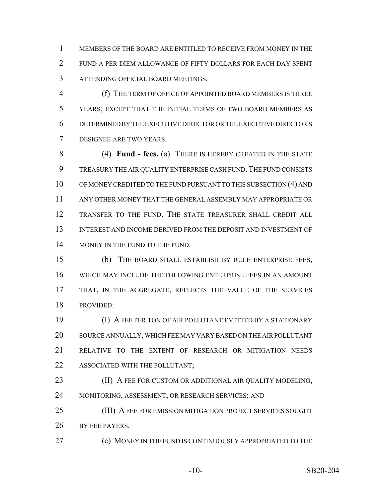MEMBERS OF THE BOARD ARE ENTITLED TO RECEIVE FROM MONEY IN THE FUND A PER DIEM ALLOWANCE OF FIFTY DOLLARS FOR EACH DAY SPENT ATTENDING OFFICIAL BOARD MEETINGS.

 (f) THE TERM OF OFFICE OF APPOINTED BOARD MEMBERS IS THREE YEARS; EXCEPT THAT THE INITIAL TERMS OF TWO BOARD MEMBERS AS DETERMINED BY THE EXECUTIVE DIRECTOR OR THE EXECUTIVE DIRECTOR'S DESIGNEE ARE TWO YEARS.

 (4) **Fund - fees.** (a) THERE IS HEREBY CREATED IN THE STATE TREASURY THE AIR QUALITY ENTERPRISE CASH FUND.THE FUND CONSISTS OF MONEY CREDITED TO THE FUND PURSUANT TO THIS SUBSECTION (4) AND ANY OTHER MONEY THAT THE GENERAL ASSEMBLY MAY APPROPRIATE OR TRANSFER TO THE FUND. THE STATE TREASURER SHALL CREDIT ALL INTEREST AND INCOME DERIVED FROM THE DEPOSIT AND INVESTMENT OF 14 MONEY IN THE FUND TO THE FUND.

 (b) THE BOARD SHALL ESTABLISH BY RULE ENTERPRISE FEES, WHICH MAY INCLUDE THE FOLLOWING ENTERPRISE FEES IN AN AMOUNT 17 THAT, IN THE AGGREGATE, REFLECTS THE VALUE OF THE SERVICES PROVIDED:

 (I) A FEE PER TON OF AIR POLLUTANT EMITTED BY A STATIONARY SOURCE ANNUALLY, WHICH FEE MAY VARY BASED ON THE AIR POLLUTANT RELATIVE TO THE EXTENT OF RESEARCH OR MITIGATION NEEDS ASSOCIATED WITH THE POLLUTANT;

**(II) A FEE FOR CUSTOM OR ADDITIONAL AIR QUALITY MODELING,** MONITORING, ASSESSMENT, OR RESEARCH SERVICES; AND

 (III) A FEE FOR EMISSION MITIGATION PROJECT SERVICES SOUGHT 26 BY FEE PAYERS.

**(c) MONEY IN THE FUND IS CONTINUOUSLY APPROPRIATED TO THE**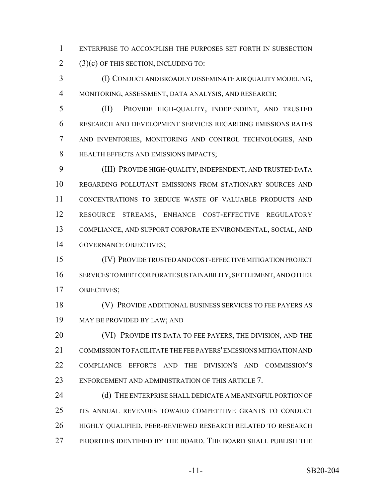ENTERPRISE TO ACCOMPLISH THE PURPOSES SET FORTH IN SUBSECTION  $2(3)(c)$  OF THIS SECTION, INCLUDING TO:

 (I) CONDUCT AND BROADLY DISSEMINATE AIR QUALITY MODELING, MONITORING, ASSESSMENT, DATA ANALYSIS, AND RESEARCH;

 (II) PROVIDE HIGH-QUALITY, INDEPENDENT, AND TRUSTED RESEARCH AND DEVELOPMENT SERVICES REGARDING EMISSIONS RATES AND INVENTORIES, MONITORING AND CONTROL TECHNOLOGIES, AND HEALTH EFFECTS AND EMISSIONS IMPACTS;

 (III) PROVIDE HIGH-QUALITY, INDEPENDENT, AND TRUSTED DATA REGARDING POLLUTANT EMISSIONS FROM STATIONARY SOURCES AND CONCENTRATIONS TO REDUCE WASTE OF VALUABLE PRODUCTS AND RESOURCE STREAMS, ENHANCE COST-EFFECTIVE REGULATORY COMPLIANCE, AND SUPPORT CORPORATE ENVIRONMENTAL, SOCIAL, AND GOVERNANCE OBJECTIVES;

 (IV) PROVIDE TRUSTED AND COST-EFFECTIVE MITIGATION PROJECT SERVICES TO MEET CORPORATE SUSTAINABILITY, SETTLEMENT, AND OTHER OBJECTIVES;

 (V) PROVIDE ADDITIONAL BUSINESS SERVICES TO FEE PAYERS AS MAY BE PROVIDED BY LAW; AND

20 (VI) PROVIDE ITS DATA TO FEE PAYERS, THE DIVISION, AND THE COMMISSION TO FACILITATE THE FEE PAYERS' EMISSIONS MITIGATION AND COMPLIANCE EFFORTS AND THE DIVISION'S AND COMMISSION'S ENFORCEMENT AND ADMINISTRATION OF THIS ARTICLE 7.

24 (d) THE ENTERPRISE SHALL DEDICATE A MEANINGFUL PORTION OF ITS ANNUAL REVENUES TOWARD COMPETITIVE GRANTS TO CONDUCT HIGHLY QUALIFIED, PEER-REVIEWED RESEARCH RELATED TO RESEARCH PRIORITIES IDENTIFIED BY THE BOARD. THE BOARD SHALL PUBLISH THE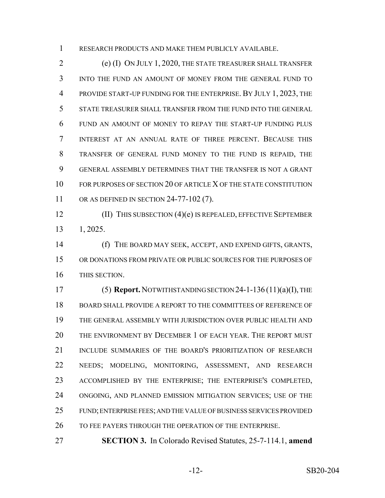RESEARCH PRODUCTS AND MAKE THEM PUBLICLY AVAILABLE.

 (e) (I) ON JULY 1, 2020, THE STATE TREASURER SHALL TRANSFER INTO THE FUND AN AMOUNT OF MONEY FROM THE GENERAL FUND TO PROVIDE START-UP FUNDING FOR THE ENTERPRISE. BY JULY 1, 2023, THE STATE TREASURER SHALL TRANSFER FROM THE FUND INTO THE GENERAL FUND AN AMOUNT OF MONEY TO REPAY THE START-UP FUNDING PLUS INTEREST AT AN ANNUAL RATE OF THREE PERCENT. BECAUSE THIS TRANSFER OF GENERAL FUND MONEY TO THE FUND IS REPAID, THE GENERAL ASSEMBLY DETERMINES THAT THE TRANSFER IS NOT A GRANT 10 FOR PURPOSES OF SECTION 20 OF ARTICLE X OF THE STATE CONSTITUTION 11 OR AS DEFINED IN SECTION 24-77-102 (7).

 (II) THIS SUBSECTION (4)(e) IS REPEALED, EFFECTIVE SEPTEMBER 1, 2025.

 (f) THE BOARD MAY SEEK, ACCEPT, AND EXPEND GIFTS, GRANTS, OR DONATIONS FROM PRIVATE OR PUBLIC SOURCES FOR THE PURPOSES OF THIS SECTION.

 (5) **Report.** NOTWITHSTANDING SECTION 24-1-136 (11)(a)(I), THE BOARD SHALL PROVIDE A REPORT TO THE COMMITTEES OF REFERENCE OF THE GENERAL ASSEMBLY WITH JURISDICTION OVER PUBLIC HEALTH AND THE ENVIRONMENT BY DECEMBER 1 OF EACH YEAR. THE REPORT MUST INCLUDE SUMMARIES OF THE BOARD'S PRIORITIZATION OF RESEARCH NEEDS; MODELING, MONITORING, ASSESSMENT, AND RESEARCH ACCOMPLISHED BY THE ENTERPRISE; THE ENTERPRISE'S COMPLETED, ONGOING, AND PLANNED EMISSION MITIGATION SERVICES; USE OF THE FUND; ENTERPRISE FEES; AND THE VALUE OF BUSINESS SERVICES PROVIDED 26 TO FEE PAYERS THROUGH THE OPERATION OF THE ENTERPRISE.

**SECTION 3.** In Colorado Revised Statutes, 25-7-114.1, **amend**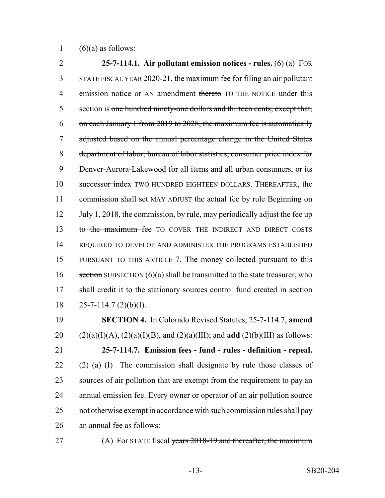1  $(6)(a)$  as follows:

2 **25-7-114.1. Air pollutant emission notices - rules.** (6) (a) FOR 3 STATE FISCAL YEAR 2020-21, the maximum fee for filing an air pollutant 4 emission notice or AN amendment thereto TO THE NOTICE under this 5 section is one hundred ninety-one dollars and thirteen cents; except that, 6 on each January 1 from 2019 to 2028, the maximum fee is automatically 7 adjusted based on the annual percentage change in the United States 8 department of labor, bureau of labor statistics, consumer price index for 9 Denver-Aurora-Lakewood for all items and all urban consumers, or its 10 successor index TWO HUNDRED EIGHTEEN DOLLARS. THEREAFTER, the 11 commission shall set MAY ADJUST the actual fee by rule Beginning on 12 July 1, 2018, the commission, by rule, may periodically adjust the fee up 13 to the maximum fee TO COVER THE INDIRECT AND DIRECT COSTS 14 REQUIRED TO DEVELOP AND ADMINISTER THE PROGRAMS ESTABLISHED 15 PURSUANT TO THIS ARTICLE 7. The money collected pursuant to this 16 section SUBSECTION  $(6)(a)$  shall be transmitted to the state treasurer, who 17 shall credit it to the stationary sources control fund created in section 18  $25-7-114.7$  (2)(b)(I).

 **SECTION 4.** In Colorado Revised Statutes, 25-7-114.7, **amend** 20 (2)(a)(I)(A), (2)(a)(I)(B), and (2)(a)(III); and **add** (2)(b)(III) as follows: **25-7-114.7. Emission fees - fund - rules - definition - repeal.** (2) (a) (I) The commission shall designate by rule those classes of sources of air pollution that are exempt from the requirement to pay an annual emission fee. Every owner or operator of an air pollution source not otherwise exempt in accordance with such commission rules shall pay an annual fee as follows:

27 (A) For STATE fiscal years 2018-19 and thereafter, the maximum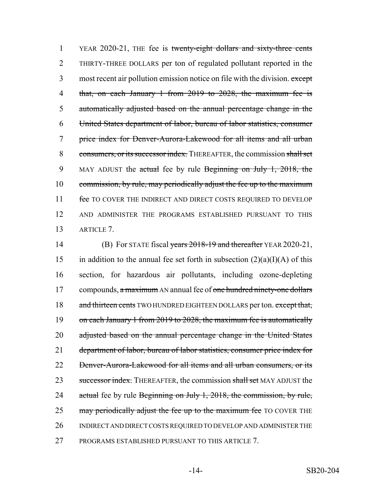1 YEAR 2020-21, THE fee is twenty-eight dollars and sixty-three cents 2 THIRTY-THREE DOLLARS per ton of regulated pollutant reported in the 3 most recent air pollution emission notice on file with the division. except 4 that, on each January 1 from 2019 to 2028, the maximum fee is 5 automatically adjusted based on the annual percentage change in the 6 United States department of labor, bureau of labor statistics, consumer 7 price index for Denver-Aurora-Lakewood for all items and all urban 8 consumers, or its successor index. THEREAFTER, the commission shall set 9 MAY ADJUST the actual fee by rule Beginning on July 1, 2018, the 10 commission, by rule, may periodically adjust the fee up to the maximum 11 fee TO COVER THE INDIRECT AND DIRECT COSTS REQUIRED TO DEVELOP 12 AND ADMINISTER THE PROGRAMS ESTABLISHED PURSUANT TO THIS 13 ARTICLE 7.

14 (B) For STATE fiscal years 2018-19 and thereafter YEAR 2020-21, 15 in addition to the annual fee set forth in subsection  $(2)(a)(I)(A)$  of this 16 section, for hazardous air pollutants, including ozone-depleting 17 compounds, a maximum AN annual fee of one hundred ninety-one dollars 18 and thirteen cents TWO HUNDRED EIGHTEEN DOLLARS per ton. except that, 19 on each January 1 from 2019 to 2028, the maximum fee is automatically 20 adjusted based on the annual percentage change in the United States 21 department of labor, bureau of labor statistics, consumer price index for 22 Denver-Aurora-Lakewood for all items and all urban consumers, or its 23 successor index. THEREAFTER, the commission shall set MAY ADJUST the 24 actual fee by rule Beginning on July 1, 2018, the commission, by rule, 25 may periodically adjust the fee up to the maximum fee TO COVER THE 26 INDIRECT AND DIRECT COSTS REQUIRED TO DEVELOP AND ADMINISTER THE 27 PROGRAMS ESTABLISHED PURSUANT TO THIS ARTICLE 7.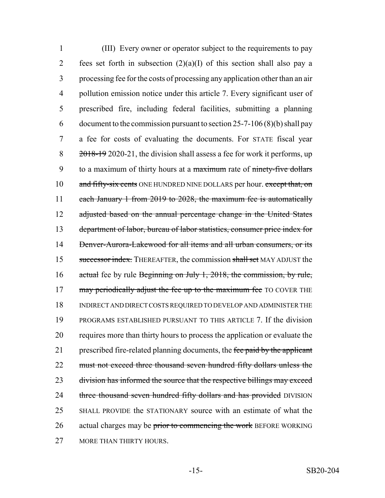1 (III) Every owner or operator subject to the requirements to pay 2 fees set forth in subsection  $(2)(a)(I)$  of this section shall also pay a 3 processing fee for the costs of processing any application other than an air 4 pollution emission notice under this article 7. Every significant user of 5 prescribed fire, including federal facilities, submitting a planning 6 document to the commission pursuant to section  $25-7-106(8)(b)$  shall pay 7 a fee for costs of evaluating the documents. For STATE fiscal year 8 2018-19 2020-21, the division shall assess a fee for work it performs, up 9 to a maximum of thirty hours at a maximum rate of ninety-five dollars 10 and fifty-six cents ONE HUNDRED NINE DOLLARS per hour. except that, on 11 each January 1 from 2019 to 2028, the maximum fee is automatically 12 adjusted based on the annual percentage change in the United States 13 department of labor, bureau of labor statistics, consumer price index for 14 Denver-Aurora-Lakewood for all items and all urban consumers, or its 15 successor index. THEREAFTER, the commission shall set MAY ADJUST the 16 actual fee by rule Beginning on July 1, 2018, the commission, by rule, 17 may periodically adjust the fee up to the maximum fee TO COVER THE 18 INDIRECT AND DIRECT COSTS REQUIRED TO DEVELOP AND ADMINISTER THE 19 PROGRAMS ESTABLISHED PURSUANT TO THIS ARTICLE 7. If the division 20 requires more than thirty hours to process the application or evaluate the 21 prescribed fire-related planning documents, the fee paid by the applicant 22 must not exceed three thousand seven hundred fifty dollars unless the 23 division has informed the source that the respective billings may exceed 24 three thousand seven hundred fifty dollars and has provided DIVISION 25 SHALL PROVIDE the STATIONARY source with an estimate of what the 26 actual charges may be prior to commencing the work BEFORE WORKING 27 MORE THAN THIRTY HOURS.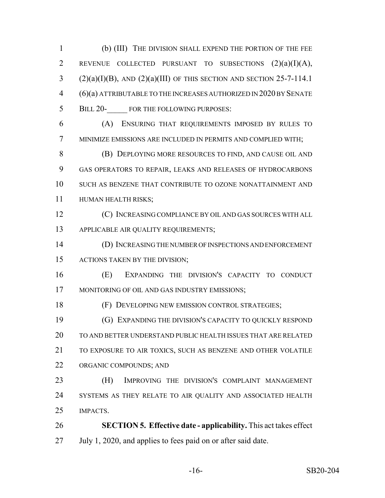(b) (III) THE DIVISION SHALL EXPEND THE PORTION OF THE FEE REVENUE COLLECTED PURSUANT TO SUBSECTIONS (2)(a)(I)(A), 3 (2)(a)(I)(B), AND (2)(a)(III) OF THIS SECTION AND SECTION 25-7-114.1 (6)(a) ATTRIBUTABLE TO THE INCREASES AUTHORIZED IN 2020 BY SENATE 5 BILL 20- FOR THE FOLLOWING PURPOSES:

 (A) ENSURING THAT REQUIREMENTS IMPOSED BY RULES TO MINIMIZE EMISSIONS ARE INCLUDED IN PERMITS AND COMPLIED WITH;

 (B) DEPLOYING MORE RESOURCES TO FIND, AND CAUSE OIL AND GAS OPERATORS TO REPAIR, LEAKS AND RELEASES OF HYDROCARBONS SUCH AS BENZENE THAT CONTRIBUTE TO OZONE NONATTAINMENT AND HUMAN HEALTH RISKS;

 (C) INCREASING COMPLIANCE BY OIL AND GAS SOURCES WITH ALL APPLICABLE AIR QUALITY REQUIREMENTS;

 (D) INCREASING THE NUMBER OF INSPECTIONS AND ENFORCEMENT ACTIONS TAKEN BY THE DIVISION;

 (E) EXPANDING THE DIVISION'S CAPACITY TO CONDUCT 17 MONITORING OF OIL AND GAS INDUSTRY EMISSIONS;

(F) DEVELOPING NEW EMISSION CONTROL STRATEGIES;

 (G) EXPANDING THE DIVISION'S CAPACITY TO QUICKLY RESPOND TO AND BETTER UNDERSTAND PUBLIC HEALTH ISSUES THAT ARE RELATED TO EXPOSURE TO AIR TOXICS, SUCH AS BENZENE AND OTHER VOLATILE ORGANIC COMPOUNDS; AND

 (H) IMPROVING THE DIVISION'S COMPLAINT MANAGEMENT 24 SYSTEMS AS THEY RELATE TO AIR QUALITY AND ASSOCIATED HEALTH IMPACTS.

 **SECTION 5. Effective date - applicability.** This act takes effect July 1, 2020, and applies to fees paid on or after said date.